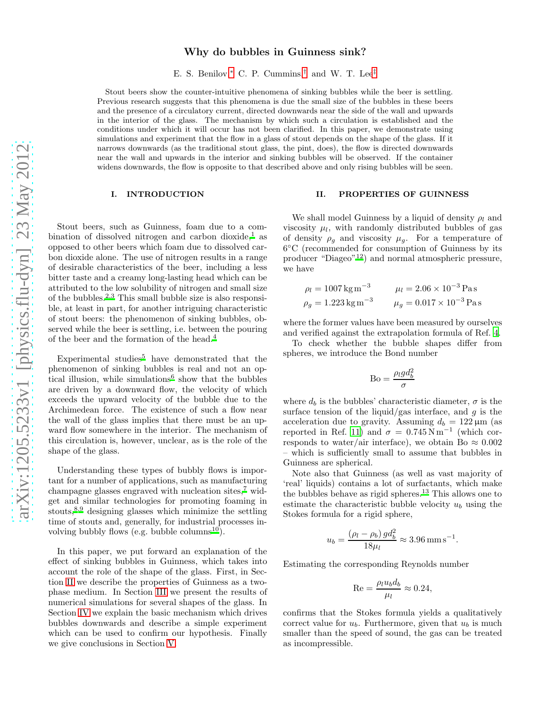## Why do bubbles in Guinness sink?

E. S. Benilov,[∗](#page-3-0) C. P. Cummins,[†](#page-3-1) and W. T. Lee[‡](#page-3-2)

Stout beers show the counter-intuitive phenomena of sinking bubbles while the beer is settling. Previous research suggests that this phenomena is due the small size of the bubbles in these beers and the presence of a circulatory current, directed downwards near the side of the wall and upwards in the interior of the glass. The mechanism by which such a circulation is established and the conditions under which it will occur has not been clarified. In this paper, we demonstrate using simulations and experiment that the flow in a glass of stout depends on the shape of the glass. If it narrows downwards (as the traditional stout glass, the pint, does), the flow is directed downwards near the wall and upwards in the interior and sinking bubbles will be observed. If the container widens downwards, the flow is opposite to that described above and only rising bubbles will be seen.

### I. INTRODUCTION

Stout beers, such as Guinness, foam due to a combination of dissolved nitrogen and carbon dioxide, $\frac{1}{1}$  $\frac{1}{1}$  $\frac{1}{1}$  as opposed to other beers which foam due to dissolved carbon dioxide alone. The use of nitrogen results in a range of desirable characteristics of the beer, including a less bitter taste and a creamy long-lasting head which can be attributed to the low solubility of nitrogen and small size of the bubbles.[2](#page-3-4)[,3](#page-3-5) This small bubble size is also responsible, at least in part, for another intriguing characteristic of stout beers: the phenomenon of sinking bubbles, observed while the beer is settling, i.e. between the pouring of the beer and the formation of the head.[4](#page-3-6)

Experimental studies<sup>[5](#page-3-7)</sup> have demonstrated that the phenomenon of sinking bubbles is real and not an op-tical illusion, while simulations<sup>[6](#page-3-8)</sup> show that the bubbles are driven by a downward flow, the velocity of which exceeds the upward velocity of the bubble due to the Archimedean force. The existence of such a flow near the wall of the glass implies that there must be an upward flow somewhere in the interior. The mechanism of this circulation is, however, unclear, as is the role of the shape of the glass.

Understanding these types of bubbly flows is important for a number of applications, such as manufacturing champagne glasses engraved with nucleation sites[,](#page-3-9)<sup> $7$ </sup> widget and similar technologies for promoting foaming in stouts[,](#page-3-10)8[,9](#page-3-11) designing glasses which minimize the settling time of stouts and, generally, for industrial processes in-volving bubbly flows (e.g. bubble columns<sup>[10](#page-3-12)</sup>).

In this paper, we put forward an explanation of the effect of sinking bubbles in Guinness, which takes into account the role of the shape of the glass. First, in Section [II](#page-0-0) we describe the properties of Guinness as a twophase medium. In Section [III](#page-1-0) we present the results of numerical simulations for several shapes of the glass. In Section [IV](#page-1-1) we explain the basic mechanism which drives bubbles downwards and describe a simple experiment which can be used to confirm our hypothesis. Finally we give conclusions in Section [V.](#page-3-13)

### <span id="page-0-0"></span>II. PROPERTIES OF GUINNESS

We shall model Guinness by a liquid of density  $\rho_l$  and viscosity  $\mu_l$ , with randomly distributed bubbles of gas of density  $\rho_q$  and viscosity  $\mu_q$ . For a temperature of 6 ◦C (recommended for consumption of Guinness by its producer "Diageo"[12](#page-3-14)) and normal atmospheric pressure, we have

$$
\rho_l = 1007 \text{ kg m}^{-3}
$$
  $\mu_l = 2.06 \times 10^{-3} \text{ Pas}$   
\n $\rho_g = 1.223 \text{ kg m}^{-3}$   $\mu_g = 0.017 \times 10^{-3} \text{ Pas}$ 

where the former values have been measured by ourselves and verified against the extrapolation formula of Ref. [4.](#page-3-6)

To check whether the bubble shapes differ from spheres, we introduce the Bond number

$$
\text{Bo} = \frac{\rho_l g d_b^2}{\sigma}
$$

where  $d_b$  is the bubbles' characteristic diameter,  $\sigma$  is the surface tension of the liquid/gas interface, and  $g$  is the acceleration due to gravity. Assuming  $d_b = 122 \,\mu\text{m}$  (as reported in Ref. [11](#page-3-15)) and  $\sigma = 0.745 \,\mathrm{N m^{-1}}$  (which corresponds to water/air interface), we obtain Bo  $\approx 0.002$ – which is sufficiently small to assume that bubbles in Guinness are spherical.

Note also that Guinness (as well as vast majority of 'real' liquids) contains a lot of surfactants, which make the bubbles behave as rigid spheres.[13](#page-3-16) This allows one to estimate the characteristic bubble velocity  $u_b$  using the Stokes formula for a rigid sphere,

$$
u_b = \frac{(\rho_l - \rho_b) g d_b^2}{18 \mu_l} \approx 3.96 \,\mathrm{mm}\,\mathrm{s}^{-1}.
$$

Estimating the corresponding Reynolds number

$$
\text{Re} = \frac{\rho_l u_b d_b}{\mu_l} \approx 0.24,
$$

confirms that the Stokes formula yields a qualitatively correct value for  $u<sub>b</sub>$ . Furthermore, given that  $u<sub>b</sub>$  is much smaller than the speed of sound, the gas can be treated as incompressible.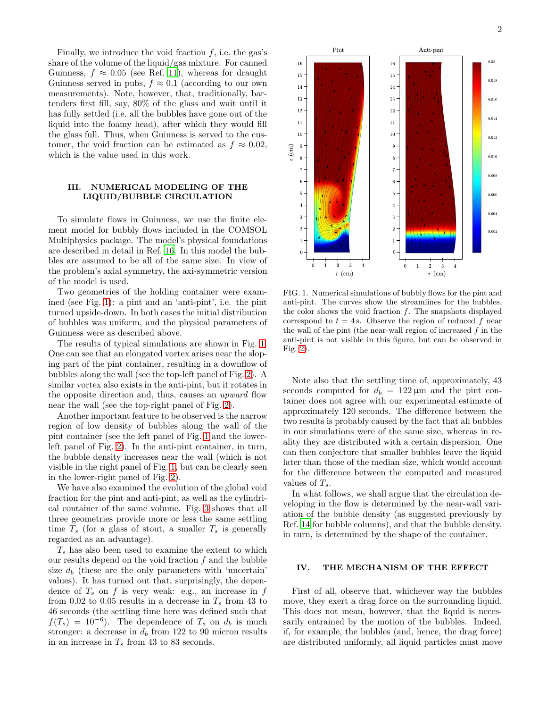Finally, we introduce the void fraction  $f$ , i.e. the gas's share of the volume of the liquid/gas mixture. For canned Guinness,  $f \approx 0.05$  (see Ref. [11\)](#page-3-15), whereas for draught Guinness served in pubs,  $f \approx 0.1$  (according to our own measurements). Note, however, that, traditionally, bartenders first fill, say, 80% of the glass and wait until it has fully settled (i.e. all the bubbles have gone out of the liquid into the foamy head), after which they would fill the glass full. Thus, when Guinness is served to the customer, the void fraction can be estimated as  $f \approx 0.02$ , which is the value used in this work.

## <span id="page-1-0"></span>III. NUMERICAL MODELING OF THE LIQUID/BUBBLE CIRCULATION

To simulate flows in Guinness, we use the finite element model for bubbly flows included in the COMSOL Multiphysics package. The model's physical foundations are described in detail in Ref. [16.](#page-4-0) In this model the bubbles are assumed to be all of the same size. In view of the problem's axial symmetry, the axi-symmetric version of the model is used.

Two geometries of the holding container were examined (see Fig. [1\)](#page-1-2): a pint and an 'anti-pint', i.e. the pint turned upside-down. In both cases the initial distribution of bubbles was uniform, and the physical parameters of Guinness were as described above.

The results of typical simulations are shown in Fig. [1.](#page-1-2) One can see that an elongated vortex arises near the sloping part of the pint container, resulting in a downflow of bubbles along the wall (see the top-left panel of Fig. [2\)](#page-2-0). A similar vortex also exists in the anti-pint, but it rotates in the opposite direction and, thus, causes an upward flow near the wall (see the top-right panel of Fig. [2\)](#page-2-0).

Another important feature to be observed is the narrow region of low density of bubbles along the wall of the pint container (see the left panel of Fig. [1](#page-1-2) and the lowerleft panel of Fig. [2\)](#page-2-0). In the anti-pint container, in turn, the bubble density increases near the wall (which is not visible in the right panel of Fig. [1,](#page-1-2) but can be clearly seen in the lower-right panel of Fig. [2\)](#page-2-0).

We have also examined the evolution of the global void fraction for the pint and anti-pint, as well as the cylindrical container of the same volume. Fig. [3](#page-2-1) shows that all three geometries provide more or less the same settling time  $T_s$  (for a glass of stout, a smaller  $T_s$  is generally regarded as an advantage).

 $T<sub>s</sub>$  has also been used to examine the extent to which our results depend on the void fraction  $f$  and the bubble size  $d_b$  (these are the only parameters with 'uncertain' values). It has turned out that, surprisingly, the dependence of  $T_s$  on f is very weak: e.g., an increase in f from 0.02 to 0.05 results in a decrease in  $T_s$  from 43 to 46 seconds (the settling time here was defined such that  $f(T_s) = 10^{-6}$ . The dependence of  $T_s$  on  $d_b$  is much stronger: a decrease in  $d_b$  from 122 to 90 micron results in an increase in  $T_s$  from 43 to 83 seconds.



<span id="page-1-2"></span>FIG. 1. Numerical simulations of bubbly flows for the pint and anti-pint. The curves show the streamlines for the bubbles, the color shows the void fraction  $f$ . The snapshots displayed correspond to  $t = 4$  s. Observe the region of reduced f near the wall of the pint (the near-wall region of increased  $f$  in the anti-pint is not visible in this figure, but can be observed in Fig. [2\)](#page-2-0).

Note also that the settling time of, approximately, 43 seconds computed for  $d_b = 122 \,\mu \text{m}$  and the pint container does not agree with our experimental estimate of approximately 120 seconds. The difference between the two results is probably caused by the fact that all bubbles in our simulations were of the same size, whereas in reality they are distributed with a certain dispersion. One can then conjecture that smaller bubbles leave the liquid later than those of the median size, which would account for the difference between the computed and measured values of  $T_s$ .

In what follows, we shall argue that the circulation developing in the flow is determined by the near-wall variation of the bubble density (as suggested previously by Ref. [14](#page-3-17) for bubble columns), and that the bubble density, in turn, is determined by the shape of the container.

#### <span id="page-1-1"></span>IV. THE MECHANISM OF THE EFFECT

First of all, observe that, whichever way the bubbles move, they exert a drag force on the surrounding liquid. This does not mean, however, that the liquid is necessarily entrained by the motion of the bubbles. Indeed, if, for example, the bubbles (and, hence, the drag force) are distributed uniformly, all liquid particles must move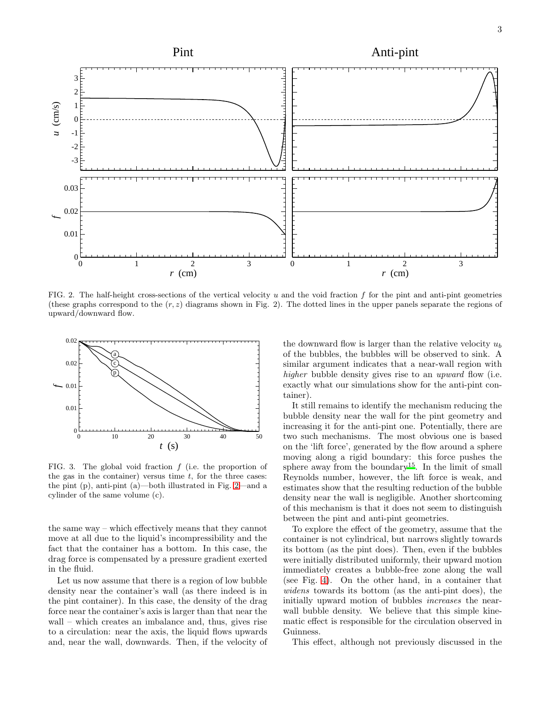

<span id="page-2-0"></span>FIG. 2. The half-height cross-sections of the vertical velocity u and the void fraction f for the pint and anti-pint geometries (these graphs correspond to the  $(r, z)$  diagrams shown in Fig. 2). The dotted lines in the upper panels separate the regions of upward/downward flow.



<span id="page-2-1"></span>FIG. 3. The global void fraction  $f$  (i.e. the proportion of the gas in the container) versus time  $t$ , for the three cases: the pint (p), anti-pint (a)—both illustrated in Fig. [2—](#page-2-0)and a cylinder of the same volume (c).

the same way – which effectively means that they cannot move at all due to the liquid's incompressibility and the fact that the container has a bottom. In this case, the drag force is compensated by a pressure gradient exerted in the fluid.

Let us now assume that there is a region of low bubble density near the container's wall (as there indeed is in the pint container). In this case, the density of the drag force near the container's axis is larger than that near the wall – which creates an imbalance and, thus, gives rise to a circulation: near the axis, the liquid flows upwards and, near the wall, downwards. Then, if the velocity of

the downward flow is larger than the relative velocity  $u_b$ of the bubbles, the bubbles will be observed to sink. A similar argument indicates that a near-wall region with higher bubble density gives rise to an upward flow (i.e. exactly what our simulations show for the anti-pint container).

It still remains to identify the mechanism reducing the bubble density near the wall for the pint geometry and increasing it for the anti-pint one. Potentially, there are two such mechanisms. The most obvious one is based on the 'lift force', generated by the flow around a sphere moving along a rigid boundary: this force pushes the sphere away from the boundary<sup>[15](#page-3-18)</sup>. In the limit of small Reynolds number, however, the lift force is weak, and estimates show that the resulting reduction of the bubble density near the wall is negligible. Another shortcoming of this mechanism is that it does not seem to distinguish between the pint and anti-pint geometries.

To explore the effect of the geometry, assume that the container is not cylindrical, but narrows slightly towards its bottom (as the pint does). Then, even if the bubbles were initially distributed uniformly, their upward motion immediately creates a bubble-free zone along the wall (see Fig. [4\)](#page-3-19). On the other hand, in a container that widens towards its bottom (as the anti-pint does), the initially upward motion of bubbles increases the nearwall bubble density. We believe that this simple kinematic effect is responsible for the circulation observed in Guinness.

This effect, although not previously discussed in the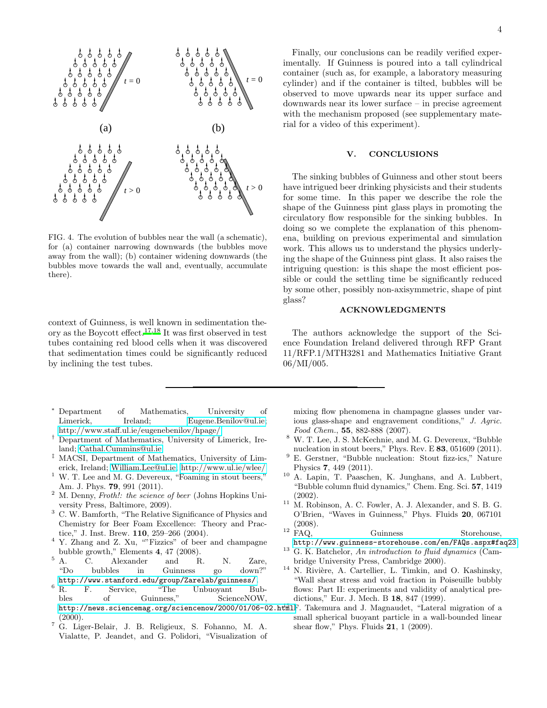

<span id="page-3-19"></span>FIG. 4. The evolution of bubbles near the wall (a schematic), for (a) container narrowing downwards (the bubbles move away from the wall); (b) container widening downwards (the bubbles move towards the wall and, eventually, accumulate there).

context of Guinness, is well known in sedimentation theory as the Boycott effect.[17](#page-4-1)[,18](#page-4-2) It was first observed in test tubes containing red blood cells when it was discovered that sedimentation times could be significantly reduced by inclining the test tubes.

- <span id="page-3-0"></span><sup>∗</sup> Department of Mathematics, University of Limerick, Ireland; [Eugene.Benilov@ul.ie;](mailto:Eugene.Benilov@ul.ie) <http://www.staff.ul.ie/eugenebenilov/hpage/>
- <span id="page-3-1"></span>† Department of Mathematics, University of Limerick, Ireland; [Cathal.Cummins@ul.ie](mailto:Cathal.Cummins@ul.ie)
- <span id="page-3-2"></span>‡ MACSI, Department of Mathematics, University of Limerick, Ireland; [William.Lee@ul.ie;](mailto:William.Lee@ul.ie)<http://www.ul.ie/wlee/>
- <span id="page-3-3"></span><sup>1</sup> W. T. Lee and M. G. Devereux, "Foaming in stout beers," Am. J. Phys. 79, 991 (2011).
- <span id="page-3-4"></span> $2$  M. Denny, Froth!: the science of beer (Johns Hopkins University Press, Baltimore, 2009).
- <span id="page-3-5"></span><sup>3</sup> C. W. Bamforth, "The Relative Significance of Physics and Chemistry for Beer Foam Excellence: Theory and Practice," J. Inst. Brew. 110, 259–266 (2004).
- <span id="page-3-6"></span><sup>4</sup> Y. Zhang and Z. Xu, ""Fizzics" of beer and champagne
- <span id="page-3-7"></span>bubble growth," Elements 4, 47 (2008).<br> $5\,$  A. C. Alexander and F A. C. Alexander and R. N. Zare,<br>
"Do bubbles in Guinness go down?" bubbles in Guinness go down?"
- <span id="page-3-8"></span><http://www.stanford.edu/group/Zarelab/guinness/>.<br>
6 R. F. Service, "The Unbuoyant Bu <sup>6</sup> R. F. Service, "The Unbuoyant Bubbles of Guinness," ScienceNOW, <http://news.sciencemag.org/sciencenow/2000/01/06-02.html>F. Takemura and J. Magnaudet, "Lateral migration of a  $(2000).$
- <span id="page-3-9"></span><sup>7</sup> G. Liger-Belair, J. B. Religieux, S. Fohanno, M. A. Vialatte, P. Jeandet, and G. Polidori, "Visualization of

Finally, our conclusions can be readily verified experimentally. If Guinness is poured into a tall cylindrical container (such as, for example, a laboratory measuring cylinder) and if the container is tilted, bubbles will be observed to move upwards near its upper surface and downwards near its lower surface – in precise agreement with the mechanism proposed (see supplementary material for a video of this experiment).

## <span id="page-3-13"></span>V. CONCLUSIONS

The sinking bubbles of Guinness and other stout beers have intrigued beer drinking physicists and their students for some time. In this paper we describe the role the shape of the Guinness pint glass plays in promoting the circulatory flow responsible for the sinking bubbles. In doing so we complete the explanation of this phenomena, building on previous experimental and simulation work. This allows us to understand the physics underlying the shape of the Guinness pint glass. It also raises the intriguing question: is this shape the most efficient possible or could the settling time be significantly reduced by some other, possibly non-axisymmetric, shape of pint glass?

# ACKNOWLEDGMENTS

The authors acknowledge the support of the Science Foundation Ireland delivered through RFP Grant 11/RFP.1/MTH3281 and Mathematics Initiative Grant 06/MI/005.

mixing flow phenomena in champagne glasses under various glass-shape and engravement conditions," J. Agric. Food Chem., 55, 882-888 (2007).

- <span id="page-3-10"></span><sup>8</sup> W. T. Lee, J. S. McKechnie, and M. G. Devereux, "Bubble nucleation in stout beers," Phys. Rev. E 83, 051609 (2011).
- <span id="page-3-11"></span><sup>9</sup> E. Gerstner, "Bubble nucleation: Stout fizz-ics," Nature Physics 7, 449 (2011).
- <span id="page-3-12"></span><sup>10</sup> A. Lapin, T. Paaschen, K. Junghans, and A. Lubbert, "Bubble column fluid dynamics," Chem. Eng. Sci. 57, 1419 (2002).
- <span id="page-3-15"></span> $11$  M. Robinson, A. C. Fowler, A. J. Alexander, and S. B. G. O'Brien, "Waves in Guinness," Phys. Fluids 20, 067101 (2008).
- <span id="page-3-14"></span><sup>12</sup> FAQ, Guinness Storehouse, <http://www.guinness-storehouse.com/en/FAQs.aspx#faq23>.
- <span id="page-3-16"></span> $13$  G. K. Batchelor, An introduction to fluid dynamics (Cambridge University Press, Cambridge 2000).
- <span id="page-3-17"></span><sup>14</sup> N. Rivière, A. Cartellier, L. Timkin, and O. Kashinsky, "Wall shear stress and void fraction in Poiseuille bubbly flows: Part II: experiments and validity of analytical predictions," Eur. J. Mech. B 18, 847 (1999).
- <span id="page-3-18"></span>small spherical buoyant particle in a wall-bounded linear shear flow," Phys. Fluids 21, 1 (2009).